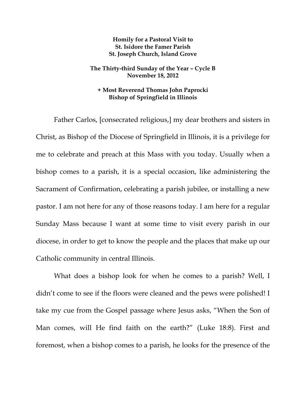## **Homily for a Pastoral Visit to St. Isidore the Famer Parish St. Joseph Church, Island Grove**

## **The Thirty-third Sunday of the Year – Cycle B November 18, 2012**

## **+ Most Reverend Thomas John Paprocki Bishop of Springfield in Illinois**

Father Carlos, [consecrated religious,] my dear brothers and sisters in Christ, as Bishop of the Diocese of Springfield in Illinois, it is a privilege for me to celebrate and preach at this Mass with you today. Usually when a bishop comes to a parish, it is a special occasion, like administering the Sacrament of Confirmation, celebrating a parish jubilee, or installing a new pastor. I am not here for any of those reasons today. I am here for a regular Sunday Mass because I want at some time to visit every parish in our diocese, in order to get to know the people and the places that make up our Catholic community in central Illinois.

What does a bishop look for when he comes to a parish? Well, I didn't come to see if the floors were cleaned and the pews were polished! I take my cue from the Gospel passage where Jesus asks, "When the Son of Man comes, will He find faith on the earth?" (Luke 18:8). First and foremost, when a bishop comes to a parish, he looks for the presence of the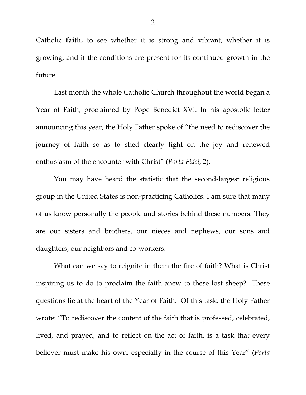Catholic **faith**, to see whether it is strong and vibrant, whether it is growing, and if the conditions are present for its continued growth in the future.

Last month the whole Catholic Church throughout the world began a Year of Faith, proclaimed by Pope Benedict XVI. In his apostolic letter announcing this year, the Holy Father spoke of "the need to rediscover the journey of faith so as to shed clearly light on the joy and renewed enthusiasm of the encounter with Christ" (*Porta Fidei*, 2).

You may have heard the statistic that the second-largest religious group in the United States is non-practicing Catholics. I am sure that many of us know personally the people and stories behind these numbers. They are our sisters and brothers, our nieces and nephews, our sons and daughters, our neighbors and co-workers.

What can we say to reignite in them the fire of faith? What is Christ inspiring us to do to proclaim the faith anew to these lost sheep? These questions lie at the heart of the Year of Faith. Of this task, the Holy Father wrote: "To rediscover the content of the faith that is professed, celebrated, lived, and prayed, and to reflect on the act of faith, is a task that every believer must make his own, especially in the course of this Year" (*Porta*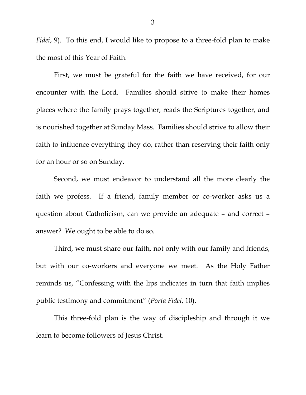*Fidei*, 9). To this end, I would like to propose to a three-fold plan to make the most of this Year of Faith.

 First, we must be grateful for the faith we have received, for our encounter with the Lord. Families should strive to make their homes places where the family prays together, reads the Scriptures together, and is nourished together at Sunday Mass. Families should strive to allow their faith to influence everything they do, rather than reserving their faith only for an hour or so on Sunday.

 Second, we must endeavor to understand all the more clearly the faith we profess. If a friend, family member or co-worker asks us a question about Catholicism, can we provide an adequate – and correct – answer? We ought to be able to do so.

 Third, we must share our faith, not only with our family and friends, but with our co-workers and everyone we meet. As the Holy Father reminds us, "Confessing with the lips indicates in turn that faith implies public testimony and commitment" (*Porta Fidei*, 10).

This three-fold plan is the way of discipleship and through it we learn to become followers of Jesus Christ.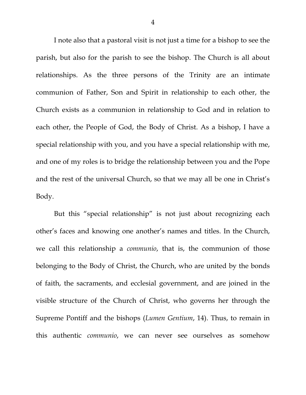I note also that a pastoral visit is not just a time for a bishop to see the parish, but also for the parish to see the bishop. The Church is all about relationships. As the three persons of the Trinity are an intimate communion of Father, Son and Spirit in relationship to each other, the Church exists as a communion in relationship to God and in relation to each other, the People of God, the Body of Christ. As a bishop, I have a special relationship with you, and you have a special relationship with me, and one of my roles is to bridge the relationship between you and the Pope and the rest of the universal Church, so that we may all be one in Christ's Body.

But this "special relationship" is not just about recognizing each other's faces and knowing one another's names and titles. In the Church, we call this relationship a *communio*, that is, the communion of those belonging to the Body of Christ, the Church, who are united by the bonds of faith, the sacraments, and ecclesial government, and are joined in the visible structure of the Church of Christ, who governs her through the Supreme Pontiff and the bishops (*Lumen Gentium*, 14). Thus, to remain in this authentic *communio*, we can never see ourselves as somehow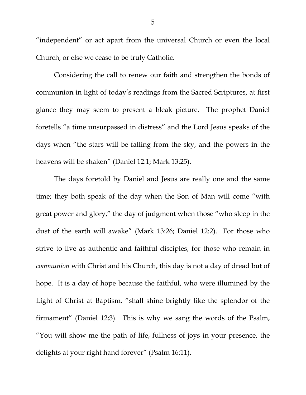"independent" or act apart from the universal Church or even the local Church, or else we cease to be truly Catholic.

Considering the call to renew our faith and strengthen the bonds of communion in light of today's readings from the Sacred Scriptures, at first glance they may seem to present a bleak picture. The prophet Daniel foretells "a time unsurpassed in distress" and the Lord Jesus speaks of the days when "the stars will be falling from the sky, and the powers in the heavens will be shaken" (Daniel 12:1; Mark 13:25).

 The days foretold by Daniel and Jesus are really one and the same time; they both speak of the day when the Son of Man will come "with great power and glory," the day of judgment when those "who sleep in the dust of the earth will awake" (Mark 13:26; Daniel 12:2). For those who strive to live as authentic and faithful disciples, for those who remain in *communion* with Christ and his Church, this day is not a day of dread but of hope. It is a day of hope because the faithful, who were illumined by the Light of Christ at Baptism, "shall shine brightly like the splendor of the firmament" (Daniel 12:3). This is why we sang the words of the Psalm, "You will show me the path of life, fullness of joys in your presence, the delights at your right hand forever" (Psalm 16:11).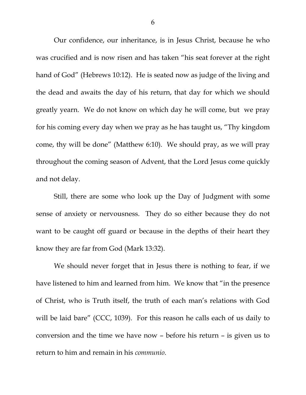Our confidence, our inheritance, is in Jesus Christ, because he who was crucified and is now risen and has taken "his seat forever at the right hand of God" (Hebrews 10:12). He is seated now as judge of the living and the dead and awaits the day of his return, that day for which we should greatly yearn. We do not know on which day he will come, but we pray for his coming every day when we pray as he has taught us, "Thy kingdom come, thy will be done" (Matthew 6:10). We should pray, as we will pray throughout the coming season of Advent, that the Lord Jesus come quickly and not delay.

 Still, there are some who look up the Day of Judgment with some sense of anxiety or nervousness. They do so either because they do not want to be caught off guard or because in the depths of their heart they know they are far from God (Mark 13:32).

 We should never forget that in Jesus there is nothing to fear, if we have listened to him and learned from him. We know that "in the presence of Christ, who is Truth itself, the truth of each man's relations with God will be laid bare" (CCC, 1039). For this reason he calls each of us daily to conversion and the time we have now – before his return – is given us to return to him and remain in his *communio*.